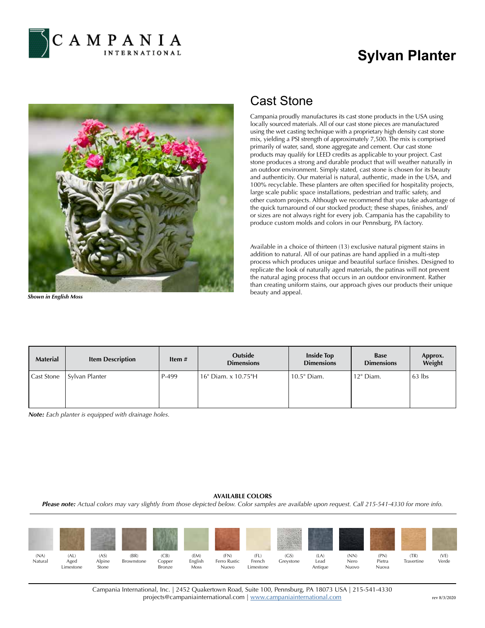

## **Sylvan Planter**



*Shown in English Moss*

## Cast Stone

Campania proudly manufactures its cast stone products in the USA using locally sourced materials. All of our cast stone pieces are manufactured using the wet casting technique with a proprietary high density cast stone mix, yielding a PSI strength of approximately 7,500. The mix is comprised primarily of water, sand, stone aggregate and cement. Our cast stone products may qualify for LEED credits as applicable to your project. Cast stone produces a strong and durable product that will weather naturally in an outdoor environment. Simply stated, cast stone is chosen for its beauty and authenticity. Our material is natural, authentic, made in the USA, and 100% recyclable. These planters are often specified for hospitality projects, large scale public space installations, pedestrian and traffic safety, and other custom projects. Although we recommend that you take advantage of the quick turnaround of our stocked product; these shapes, finishes, and/ or sizes are not always right for every job. Campania has the capability to produce custom molds and colors in our Pennsburg, PA factory.

Available in a choice of thirteen (13) exclusive natural pigment stains in addition to natural. All of our patinas are hand applied in a multi-step process which produces unique and beautiful surface finishes. Designed to replicate the look of naturally aged materials, the patinas will not prevent the natural aging process that occurs in an outdoor environment. Rather than creating uniform stains, our approach gives our products their unique beauty and appeal.

| <b>Material</b> | <b>Item Description</b> | Item $#$ | Outside<br><b>Dimensions</b> | <b>Inside Top</b><br><b>Dimensions</b> | <b>Base</b><br><b>Dimensions</b> | Approx.<br>Weight |
|-----------------|-------------------------|----------|------------------------------|----------------------------------------|----------------------------------|-------------------|
| Cast Stone      | Sylvan Planter          | P-499    | l 16" Diam. x 10.75"H        | 10.5" Diam.                            | 12" Diam.                        | $63$ lbs          |

*Note: Each planter is equipped with drainage holes.*

## **AVAILABLE COLORS**

*Please note: Actual colors may vary slightly from those depicted below. Color samples are available upon request. Call 215-541-4330 for more info.*